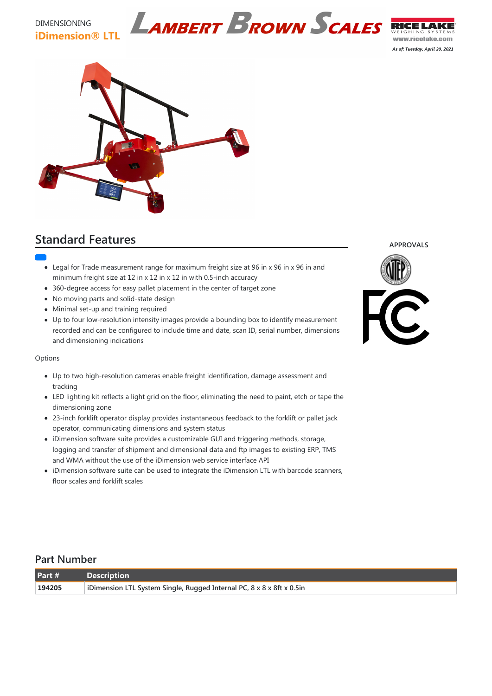### DIMENSIONING **iDimension® LTL**

www.ricelake.com

*As of: Tuesday, April 20, 2021*



# **Standard Features**

- Legal for Trade measurement range for maximum freight size at 96 in x 96 in x 96 in and minimum freight size at 12 in x 12 in x 12 in with 0.5-inch accuracy
- 360-degree access for easy pallet placement in the center of target zone
- No moving parts and solid-state design
- Minimal set-up and training required
- Up to four low-resolution intensity images provide a bounding box to identify measurement recorded and can be configured to include time and date, scan ID, serial number, dimensions and dimensioning indications

### **Options**

- Up to two high-resolution cameras enable freight identification, damage assessment and tracking
- LED lighting kit reflects a light grid on the floor, eliminating the need to paint, etch or tape the dimensioning zone
- 23-inch forklift operator display provides instantaneous feedback to the forklift or pallet jack operator, communicating dimensions and system status
- iDimension software suite provides a customizable GUI and triggering methods, storage, logging and transfer of shipment and dimensional data and ftp images to existing ERP, TMS and WMA without the use of the iDimension web service interface API
- iDimension software suite can be used to integrate the iDimension LTL with barcode scanners, floor scales and forklift scales

#### **APPROVALS**



## **Part Number**

| Part # | <b>Description</b>                                                    |
|--------|-----------------------------------------------------------------------|
| 194205 | iDimension LTL System Single, Rugged Internal PC, 8 x 8 x 8ft x 0.5in |